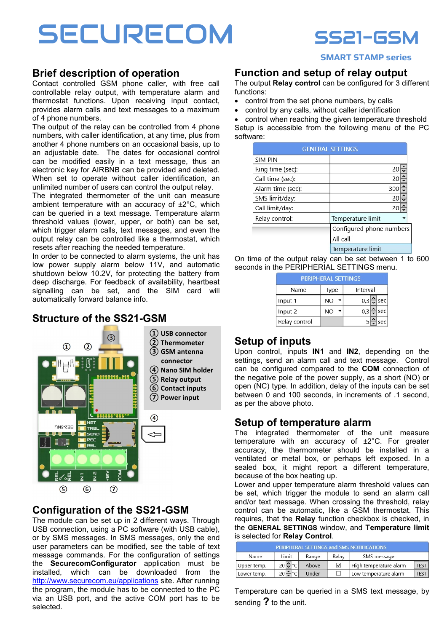# SECURECOM SS21-GSM



#### SMART STAMP series

# Brief description of operation

thermostat functions. Upon receiving input contact,<br>provides alarm calls and text messages to a maximum  $\mathsf{p}$  and  $\mathsf{p}$  phone numbers. Contact controlled GSM phone caller, with free call controllable relay output, with temperature alarm and provides alarm calls and text messages to a maximum

The output of the relay can be controlled from 4 phone numbers, with caller identification, at any time, plus from another 4 phone numbers on an occasional basis, up to an adjustable date. The dates for occasional control can be modified easily in a text message, thus an electronic key for AIRBNB can be provided and deleted. When set to operate without caller identification, an unlimited number of users can control the output relay.

The integrated thermometer of the unit can measure ambient temperature with an accuracy of  $\pm 2^{\circ}$ C, which which trigger alarm calls, text messages, and even the<br>output relay can be controlled like a thermostat, which resets after reaching the needed temperature. can be queried in a text message. Temperature alarm threshold values (lower, upper, or both) can be set, output relay can be controlled like a thermostat, which

no caller the 2 called and secondary and secondary and secondshutdown below 10.2V, for protecting the battery from deep discharge. For feedback of availability, heartbeat signalling can be set, and the SIM card will Contains 2 controlled outputs: a relay contact for In order to be connected to alarm systems, the unit has automatically forward balance info.

#### ructure of the SS21\_GSM Structure of the SS21-GSM



## Configuration of the SS21-GSM

The module can be set up in 2 different ways. Through USB connection, using a PC software (with USB cable), or by SMS messages. In SMS messages, only the end user parameters can be modified, see the table of text message commands. For the configuration of settings the SecurecomConfigurator application must be installed, which can be downloaded from the http://www.securecom.eu/applications site. After running the program, the module has to be connected to the PC via an USB port, and the active COM port has to be selected.

#### Function and setup of relay output

The output Relay control can be configured for 3 different functions:

- $\bullet$  control from the set phone numbers, by calls
- control by any calls, without caller identification

• control when reaching the given temperature threshold Setup is accessible from the following menu of the PC software:  $\overline{\phantom{a}}$  and  $\overline{\phantom{a}}$  and  $\overline{\phantom{a}}$  and  $\overline{\phantom{a}}$  and  $\overline{\phantom{a}}$  and  $\overline{\phantom{a}}$  and  $\overline{\phantom{a}}$  and  $\overline{\phantom{a}}$  and  $\overline{\phantom{a}}$  and  $\overline{\phantom{a}}$  and  $\overline{\phantom{a}}$  and  $\overline{\phantom{a}}$  and  $\overline{\phantom{a}}$  and  $\overline$ 

| <b>GENERAL SETTINGS</b> |                          |  |
|-------------------------|--------------------------|--|
| <b>SIM PIN</b>          |                          |  |
| Ring time (sec):        | 20                       |  |
| Call time (sec):        | 20                       |  |
| Alarm time (sec):       | 300                      |  |
| SMS limit/day:          | 20                       |  |
| Call limit/day:         | 20                       |  |
| Relay control:          | Temperature limit        |  |
|                         | Configured phone numbers |  |
|                         | All call                 |  |
|                         | Temperature limit        |  |

On time of the output relay can be set between 1 to 600 seconds in the PERIPHERIAL SETTINGS menu.

| <b>PERIPHERAL SETTINGS</b> |                  |                         |  |
|----------------------------|------------------|-------------------------|--|
| Name                       | Interval<br>Type |                         |  |
| Input 1                    | NO               | $0,3\Rightarrow$<br>sec |  |
| Input 2                    | NO               | sec<br>$0.3\frac{2}{2}$ |  |
| Relay control              |                  | sec                     |  |

#### **Setup of inputs** to the setup of  $\mathbf{I}$

Upon control, inputs IN1 and IN2, depending on the settings, send an alarm call and text message. Control can be configured compared to the **COM** connection of PC the negative pole of the power supply, as a short (NO) or open (NC) type. In addition, delay of the inputs can be set between 0 and 100 seconds, in increments of .1 second, as per the above photo.

#### Setup of temperature alarm

The integrated thermometer of the unit measure temperature with an accuracy of ±2°C. For greater accuracy, the thermometer should be installed in a ventilated or metal box, or perhaps left exposed. In a sealed box, it might report a different temperature, because of the box heating up.

Lower and upper temperature alarm threshold values can be set, which trigger the module to send an alarm call and/or text message. When crossing the threshold, relay control can be automatic, like a GSM thermostat. This requires, that the Relay function checkbox is checked, in the GENERAL SETTINGS window, and Temperature limit is selected for Relay Control.

| PERIPHERAL SETTINGS and SMS NOTIFICATIONS |                   |       |       |                        |             |
|-------------------------------------------|-------------------|-------|-------|------------------------|-------------|
| Name                                      | Limit             |       | Relav | SMS message            |             |
| Upper temp.                               | $20 - C$          | Above | ✓     | High temperature alarm | <b>TEST</b> |
| Lower temp.                               | $20 -$<br>$\circ$ | Under |       | Low temperature alarm  | <b>TEST</b> |

Temperature can be queried in a SMS text message, by sending ? to the unit.